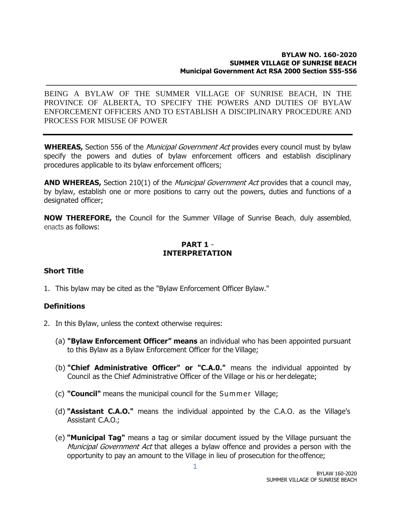#### **BYLAW NO. 160-2020 SUMMER VILLAGE OF SUNRISE BEACH Municipal Government Act RSA 2000 Section 555-556**

BEING A BYLAW OF THE SUMMER VILLAGE OF SUNRISE BEACH, IN THE PROVINCE OF ALBERTA, TO SPECIFY THE POWERS AND DUTIES OF BYLAW ENFORCEMENT OFFICERS AND TO ESTABLISH A DISCIPLINARY PROCEDURE AND PROCESS FOR MISUSE OF POWER

\_\_\_\_\_\_\_\_\_\_\_\_\_\_\_\_\_\_\_\_\_\_\_\_\_\_\_\_\_\_\_\_\_\_\_\_\_\_\_\_\_\_\_\_\_\_\_\_\_\_\_\_\_\_\_\_\_\_\_\_\_

**WHEREAS,** Section 556 of the *Municipal Government Act* provides every council must by bylaw specify the powers and duties of bylaw enforcement officers and establish disciplinary procedures applicable to its bylaw enforcement officers;

**AND WHEREAS,** Section 210(1) of the *Municipal Government Act* provides that a council may, by bylaw, establish one or more positions to carry out the powers, duties and functions of a designated officer;

**NOW THEREFORE,** the Council for the Summer Village of Sunrise Beach, duly assembled, enacts as follows:

# **PART 1** - **INTERPRETATION**

### **Short Title**

1. This bylaw may be cited as the "Bylaw Enforcement Officer Bylaw."

### **Definitions**

- 2. In this Bylaw, unless the context otherwise requires:
	- (a) **"Bylaw Enforcement Officer" means** an individual who has been appointed pursuant to this Bylaw as a Bylaw Enforcement Officer for the Village;
	- (b) **"Chief Administrative Officer" or "C.A.0."** means the individual appointed by Council as the Chief Administrative Officer of the Village or his or herdelegate;
	- (c) **"Council"** means the municipal council for the Summer Village;
	- (d) **"Assistant C.A.O."** means the individual appointed by the C.A.O. as the Village's Assistant C.A.O.;
	- (e) **"Municipal Tag"** means a tag or similar document issued by the Village pursuant the Municipal Government Act that alleges a bylaw offence and provides a person with the opportunity to pay an amount to the Village in lieu of prosecution for the offence;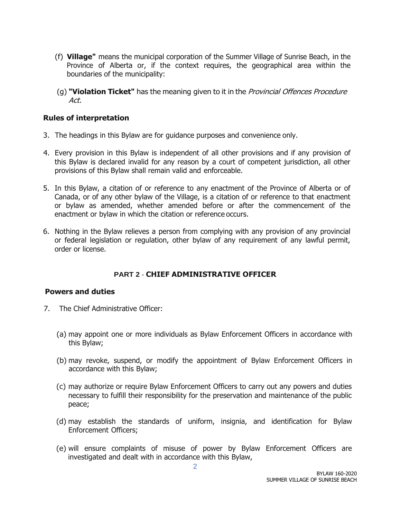- (f) **Village"** means the municipal corporation of the Summer Village of Sunrise Beach, in the Province of Alberta or, if the context requires, the geographical area within the boundaries of the municipality:
- (g) **"Violation Ticket"** has the meaning given to it in the Provincial Offences Procedure Act.

### **Rules of interpretation**

- 3. The headings in this Bylaw are for guidance purposes and convenience only.
- 4. Every provision in this Bylaw is independent of all other provisions and if any provision of this Bylaw is declared invalid for any reason by a court of competent jurisdiction, all other provisions of this Bylaw shall remain valid and enforceable.
- 5. In this Bylaw, a citation of or reference to any enactment of the Province of Alberta or of Canada, or of any other bylaw of the Village, is a citation of or reference to that enactment or bylaw as amended, whether amended before or after the commencement of the enactment or bylaw in which the citation or reference occurs.
- 6. Nothing in the Bylaw relieves a person from complying with any provision of any provincial or federal legislation or regulation, other bylaw of any requirement of any lawful permit, order or license.

# **PART 2** - **CHIEF ADMINISTRATIVE OFFICER**

### **Powers and duties**

- 7. The Chief Administrative Officer:
	- (a) may appoint one or more individuals as Bylaw Enforcement Officers in accordance with this Bylaw;
	- (b) may revoke, suspend, or modify the appointment of Bylaw Enforcement Officers in accordance with this Bylaw;
	- (c) may authorize or require Bylaw Enforcement Officers to carry out any powers and duties necessary to fulfill their responsibility for the preservation and maintenance of the public peace;
	- (d) may establish the standards of uniform, insignia, and identification for Bylaw Enforcement Officers;
	- (e) will ensure complaints of misuse of power by Bylaw Enforcement Officers are investigated and dealt with in accordance with this Bylaw,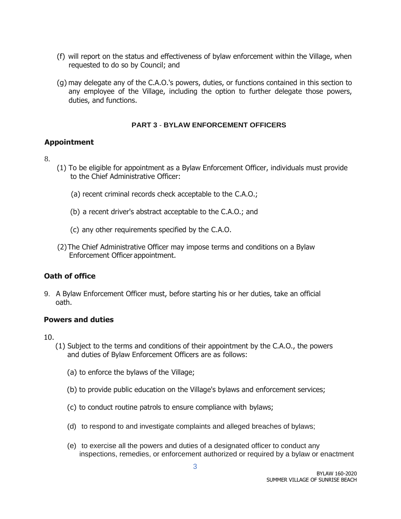- (f) will report on the status and effectiveness of bylaw enforcement within the Village, when requested to do so by Council; and
- (g) may delegate any of the C.A.O.'s powers, duties, or functions contained in this section to any employee of the Village, including the option to further delegate those powers, duties, and functions.

#### **PART 3** - **BYLAW ENFORCEMENT OFFICERS**

## **Appointment**

- 8.
- (1) To be eligible for appointment as a Bylaw Enforcement Officer, individuals must provide to the Chief Administrative Officer:
	- (a) recent criminal records check acceptable to the C.A.O.;
	- (b) a recent driver's abstract acceptable to the C.A.O.; and
	- (c) any other requirements specified by the C.A.O.
- (2)The Chief Administrative Officer may impose terms and conditions on a Bylaw Enforcement Officer appointment.

# **Oath of office**

9. A Bylaw Enforcement Officer must, before starting his or her duties, take an official oath.

### **Powers and duties**

10.

- (1) Subject to the terms and conditions of their appointment by the C.A.O., the powers and duties of Bylaw Enforcement Officers are as follows:
	- (a) to enforce the bylaws of the Village;
	- (b) to provide public education on the Village's bylaws and enforcement services;
	- (c) to conduct routine patrols to ensure compliance with bylaws;
	- (d) to respond to and investigate complaints and alleged breaches of bylaws;
	- (e) to exercise all the powers and duties of a designated officer to conduct any inspections, remedies, or enforcement authorized or required by a bylaw or enactment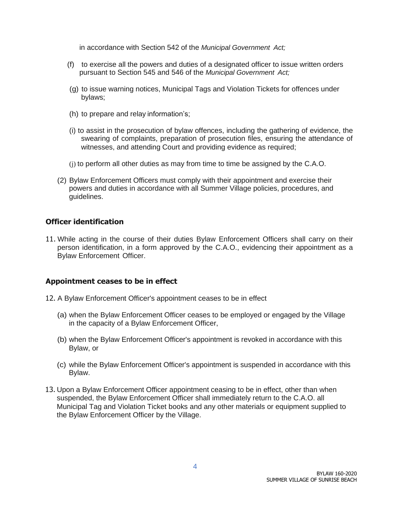in accordance with Section 542 of the *Municipal Government Act;*

- (f) to exercise all the powers and duties of a designated officer to issue written orders pursuant to Section 545 and 546 of the *Municipal Government Act;*
- (g) to issue warning notices, Municipal Tags and Violation Tickets for offences under bylaws;
- (h) to prepare and relay information's;
- (i) to assist in the prosecution of bylaw offences, including the gathering of evidence, the swearing of complaints, preparation of prosecution files, ensuring the attendance of witnesses, and attending Court and providing evidence as required;
- (j) to perform all other duties as may from time to time be assigned by the C.A.O.
- (2) Bylaw Enforcement Officers must comply with their appointment and exercise their powers and duties in accordance with all Summer Village policies, procedures, and guidelines.

#### **Officer identification**

11. While acting in the course of their duties Bylaw Enforcement Officers shall carry on their person identification, in a form approved by the C.A.O., evidencing their appointment as a Bylaw Enforcement Officer.

#### **Appointment ceases to be in effect**

- 12. A Bylaw Enforcement Officer's appointment ceases to be in effect
	- (a) when the Bylaw Enforcement Officer ceases to be employed or engaged by the Village in the capacity of a Bylaw Enforcement Officer,
	- (b) when the Bylaw Enforcement Officer's appointment is revoked in accordance with this Bylaw, or
	- (c) while the Bylaw Enforcement Officer's appointment is suspended in accordance with this Bylaw.
- 13. Upon a Bylaw Enforcement Officer appointment ceasing to be in effect, other than when suspended, the Bylaw Enforcement Officer shall immediately return to the C.A.O. all Municipal Tag and Violation Ticket books and any other materials or equipment supplied to the Bylaw Enforcement Officer by the Village.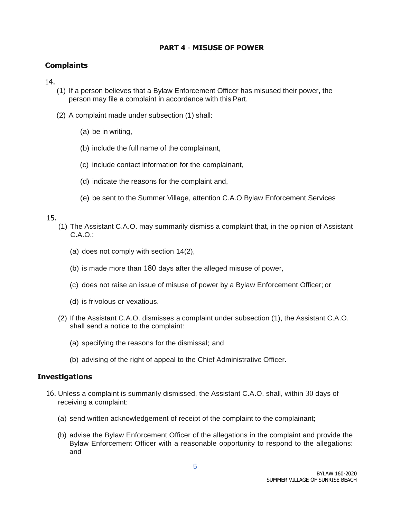## **PART 4** - **MISUSE OF POWER**

## **Complaints**

14.

- (1) If a person believes that a Bylaw Enforcement Officer has misused their power, the person may file a complaint in accordance with this Part.
- (2) A complaint made under subsection (1) shall:
	- (a) be in writing,
	- (b) include the full name of the complainant,
	- (c) include contact information for the complainant,
	- (d) indicate the reasons for the complaint and,
	- (e) be sent to the Summer Village, attention C.A.O Bylaw Enforcement Services

### 15.

- (1) The Assistant C.A.O. may summarily dismiss a complaint that, in the opinion of Assistant C.A.O.:
	- (a) does not comply with section 14(2),
	- (b) is made more than 180 days after the alleged misuse of power,
	- (c) does not raise an issue of misuse of power by a Bylaw Enforcement Officer; or
	- (d) is frivolous or vexatious.
- (2) If the Assistant C.A.O. dismisses a complaint under subsection (1), the Assistant C.A.O. shall send a notice to the complaint:
	- (a) specifying the reasons for the dismissal; and
	- (b) advising of the right of appeal to the Chief Administrative Officer.

### **Investigations**

- 16. Unless a complaint is summarily dismissed, the Assistant C.A.O. shall, within 30 days of receiving a complaint:
	- (a) send written acknowledgement of receipt of the complaint to the complainant;
	- (b) advise the Bylaw Enforcement Officer of the allegations in the complaint and provide the Bylaw Enforcement Officer with a reasonable opportunity to respond to the allegations: and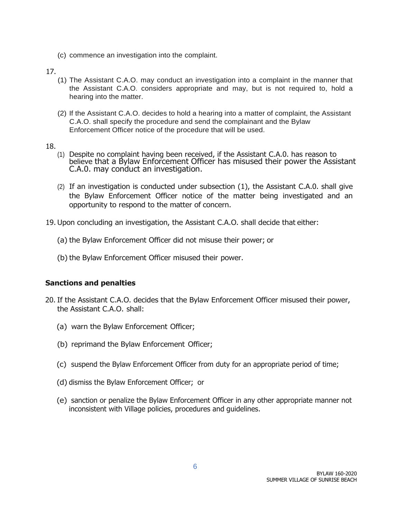(c) commence an investigation into the complaint.

#### 17.

- (1) The Assistant C.A.O. may conduct an investigation into a complaint in the manner that the Assistant C.A.O. considers appropriate and may, but is not required to, hold a hearing into the matter.
- (2) If the Assistant C.A.O. decides to hold a hearing into a matter of complaint, the Assistant C.A.O. shall specify the procedure and send the complainant and the Bylaw Enforcement Officer notice of the procedure that will be used.
- 18.
	- (1) Despite no complaint having been received, if the Assistant C.A.0. has reason to believe that a Bylaw Enforcement Officer has misused their power the Assistant C.A.0. may conduct an investigation.
	- (2) If an investigation is conducted under subsection (1), the Assistant C.A.0. shall give the Bylaw Enforcement Officer notice of the matter being investigated and an opportunity to respond to the matter of concern.
- 19. Upon concluding an investigation, the Assistant C.A.O. shall decide that either:
	- (a) the Bylaw Enforcement Officer did not misuse their power; or
	- (b) the Bylaw Enforcement Officer misused their power.

### **Sanctions and penalties**

- 20. If the Assistant C.A.O. decides that the Bylaw Enforcement Officer misused their power, the Assistant C.A.O. shall:
	- (a) warn the Bylaw Enforcement Officer;
	- (b) reprimand the Bylaw Enforcement Officer;
	- (c) suspend the Bylaw Enforcement Officer from duty for an appropriate period of time;
	- (d) dismiss the Bylaw Enforcement Officer; or
	- (e) sanction or penalize the Bylaw Enforcement Officer in any other appropriate manner not inconsistent with Village policies, procedures and guidelines.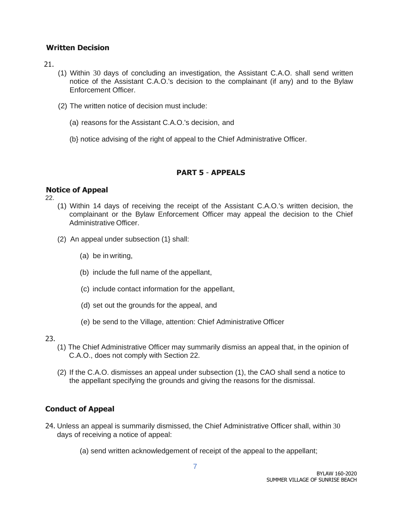### **Written Decision**

21.

- (1) Within 30 days of concluding an investigation, the Assistant C.A.O. shall send written notice of the Assistant C.A.O.'s decision to the complainant (if any) and to the Bylaw Enforcement Officer.
- (2) The written notice of decision must include:
	- (a) reasons for the Assistant C.A.O.'s decision, and
	- (b} notice advising of the right of appeal to the Chief Administrative Officer.

# **PART 5** - **APPEALS**

### **Notice of Appeal**

22.

- (1) Within 14 days of receiving the receipt of the Assistant C.A.O.'s written decision, the complainant or the Bylaw Enforcement Officer may appeal the decision to the Chief Administrative Officer.
- (2) An appeal under subsection (1} shall:
	- (a) be in writing,
	- (b) include the full name of the appellant,
	- (c) include contact information for the appellant,
	- (d) set out the grounds for the appeal, and
	- (e) be send to the Village, attention: Chief Administrative Officer

### 23.

- (1) The Chief Administrative Officer may summarily dismiss an appeal that, in the opinion of C.A.O., does not comply with Section 22.
- (2) If the C.A.O. dismisses an appeal under subsection (1), the CAO shall send a notice to the appellant specifying the grounds and giving the reasons for the dismissal.

# **Conduct of Appeal**

- 24. Unless an appeal is summarily dismissed, the Chief Administrative Officer shall, within 30 days of receiving a notice of appeal:
	- (a) send written acknowledgement of receipt of the appeal to the appellant;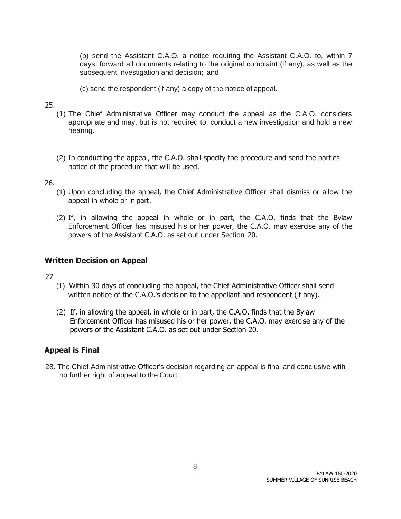(b) send the Assistant C.A.O. a notice requiring the Assistant C.A.O. to, within 7 days, forward all documents relating to the original complaint (if any), as well as the subsequent investigation and decision; and

(c) send the respondent (if any) a copy of the notice of appeal.

### 25.

- (1) The Chief Administrative Officer may conduct the appeal as the C.A.O. considers appropriate and may, but is not required to, conduct a new investigation and hold a new hearing.
- (2) In conducting the appeal, the C.A.O. shall specify the procedure and send the parties notice of the procedure that will be used.

### 26.

- (1) Upon concluding the appeal, the Chief Administrative Officer shall dismiss or allow the appeal in whole or in part.
- (2) If, in allowing the appeal in whole or in part, the C.A.O. finds that the Bylaw Enforcement Officer has misused his or her power, the C.A.O. may exercise any of the powers of the Assistant C.A.O. as set out under Section 20.

### **Written Decision on Appeal**

27.

- (1) Within 30 days of concluding the appeal, the Chief Administrative Officer shall send written notice of the C.A.O.'s decision to the appellant and respondent (if any).
- (2) If, in allowing the appeal, in whole or in part, the C.A.O. finds that the Bylaw Enforcement Officer has misused his or her power, the C.A.O. may exercise any of the powers of the Assistant C.A.O. as set out under Section 20.

### **Appeal is Final**

28. The Chief Administrative Officer's decision regarding an appeal is final and conclusive with no further right of appeal to the Court.